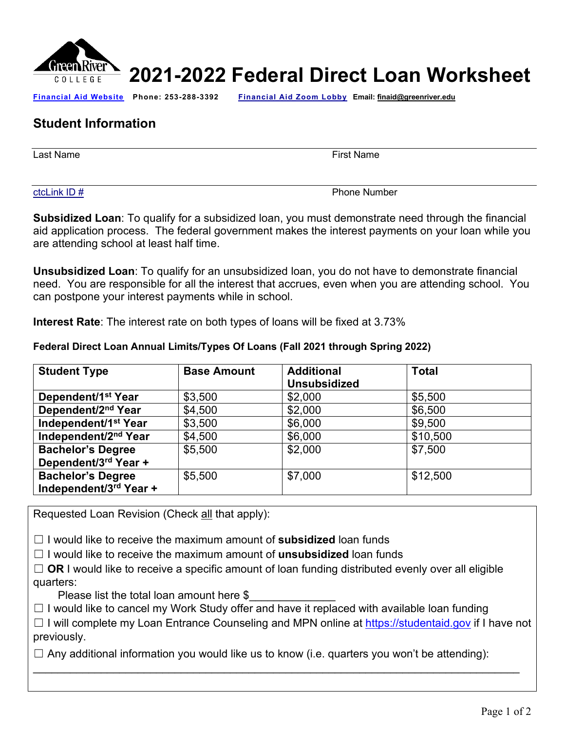

**[Financial Aid Website](https://www.greenriver.edu/students/pay-for-college/financial-aid/) Phone: 253-288-3392 [Financial Aid Zoom Lobby](https://www.greenriver.edu/va/) Email: [finaid@greenriver.edu](mailto:finaid@greenriver.edu)**

# **Student Information**

Last Name First Name

[ctcLink ID #](https://my.greenriver.edu/lookup) Phone Number

**Subsidized Loan**: To qualify for a subsidized loan, you must demonstrate need through the financial aid application process. The federal government makes the interest payments on your loan while you are attending school at least half time.

**Unsubsidized Loan**: To qualify for an unsubsidized loan, you do not have to demonstrate financial need. You are responsible for all the interest that accrues, even when you are attending school. You can postpone your interest payments while in school.

**Interest Rate**: The interest rate on both types of loans will be fixed at 3.73%

#### **Federal Direct Loan Annual Limits/Types Of Loans (Fall 2021 through Spring 2022)**

| <b>Student Type</b>              | <b>Base Amount</b> | <b>Additional</b>   | <b>Total</b> |
|----------------------------------|--------------------|---------------------|--------------|
|                                  |                    | <b>Unsubsidized</b> |              |
| Dependent/1 <sup>st</sup> Year   | \$3,500            | \$2,000             | \$5,500      |
| Dependent/2 <sup>nd</sup> Year   | \$4,500            | \$2,000             | \$6,500      |
| Independent/1 <sup>st</sup> Year | \$3,500            | \$6,000             | \$9,500      |
| Independent/2nd Year             | \$4,500            | \$6,000             | \$10,500     |
| <b>Bachelor's Degree</b>         | \$5,500            | \$2,000             | \$7,500      |
| Dependent/3rd Year +             |                    |                     |              |
| <b>Bachelor's Degree</b>         | \$5,500            | \$7,000             | \$12,500     |
| Independent/3rd Year +           |                    |                     |              |

Requested Loan Revision (Check all that apply):

☐ I would like to receive the maximum amount of **subsidized** loan funds

☐ I would like to receive the maximum amount of **unsubsidized** loan funds

 $\Box$  **OR** I would like to receive a specific amount of loan funding distributed evenly over all eligible quarters:

Please list the total loan amount here \$

 $\Box$  I would like to cancel my Work Study offer and have it replaced with available loan funding

□ I will complete my Loan Entrance Counseling and MPN online at [https://studentaid.gov](https://studentaid.gov/) if I have not previously.

\_\_\_\_\_\_\_\_\_\_\_\_\_\_\_\_\_\_\_\_\_\_\_\_\_\_\_\_\_\_\_\_\_\_\_\_\_\_\_\_\_\_\_\_\_\_\_\_\_\_\_\_\_\_\_\_\_\_\_\_\_\_\_\_\_\_\_\_\_\_\_\_\_\_\_\_\_\_\_

 $\Box$  Any additional information you would like us to know (i.e. quarters you won't be attending):